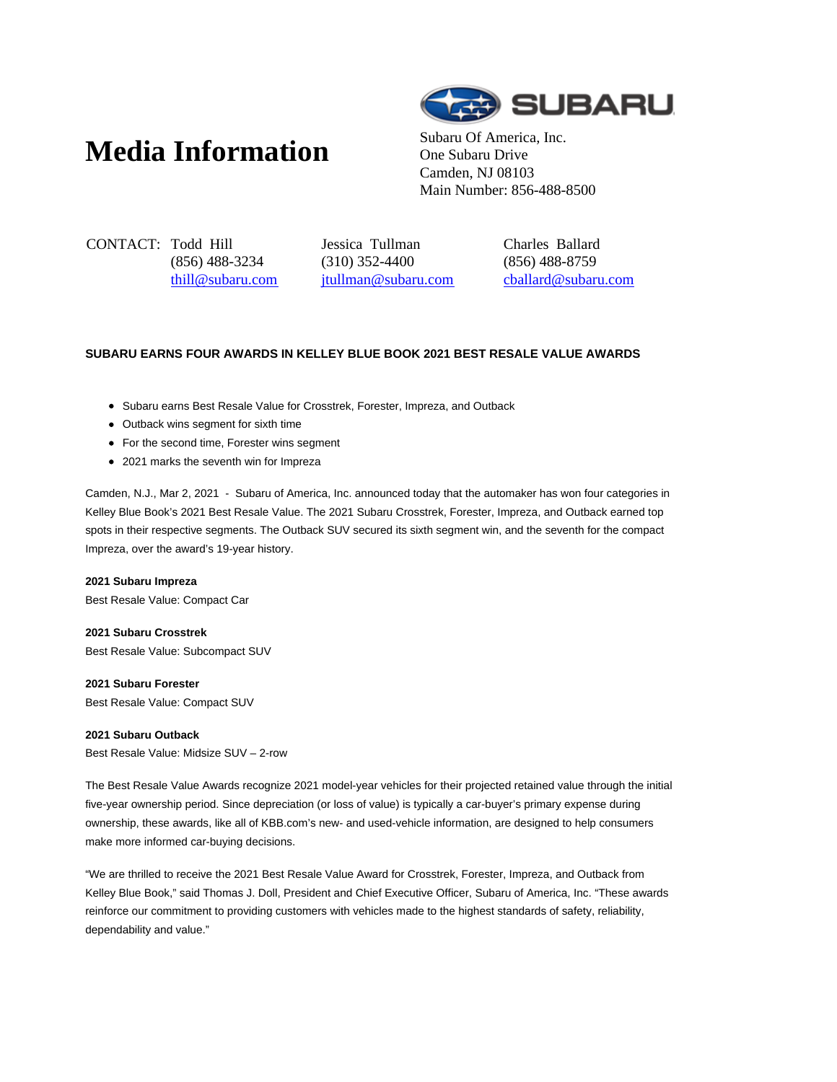# **Media Information** Subaru Of America, Inc.



One Subaru Drive Camden, NJ 08103 Main Number: 856-488-8500

CONTACT: Todd Hill (856) 488-3234 thill@subaru.com Jessica Tullman (310) 352-4400 jtullman@subaru.com Charles Ballard (856) 488-8759 cballard@subaru.com

## **SUBARU EARNS FOUR AWARDS IN KELLEY BLUE BOOK 2021 BEST RESALE VALUE AWARDS**

- Subaru earns Best Resale Value for Crosstrek, Forester, Impreza, and Outback
- Outback wins segment for sixth time
- For the second time, Forester wins segment
- 2021 marks the seventh win for Impreza

Camden, N.J., Mar 2, 2021 - Subaru of America, Inc. announced today that the automaker has won four categories in Kelley Blue Book's 2021 Best Resale Value. The 2021 Subaru Crosstrek, Forester, Impreza, and Outback earned top spots in their respective segments. The Outback SUV secured its sixth segment win, and the seventh for the compact Impreza, over the award's 19-year history.

#### **2021 Subaru Impreza**

Best Resale Value: Compact Car

**2021 Subaru Crosstrek**

Best Resale Value: Subcompact SUV

**2021 Subaru Forester**

Best Resale Value: Compact SUV

### **2021 Subaru Outback**

Best Resale Value: Midsize SUV – 2-row

The Best Resale Value Awards recognize 2021 model-year vehicles for their projected retained value through the initial five-year ownership period. Since depreciation (or loss of value) is typically a car-buyer's primary expense during ownership, these awards, like all of KBB.com's new- and used-vehicle information, are designed to help consumers make more informed car-buying decisions.

"We are thrilled to receive the 2021 Best Resale Value Award for Crosstrek, Forester, Impreza, and Outback from Kelley Blue Book," said Thomas J. Doll, President and Chief Executive Officer, Subaru of America, Inc. "These awards reinforce our commitment to providing customers with vehicles made to the highest standards of safety, reliability, dependability and value."